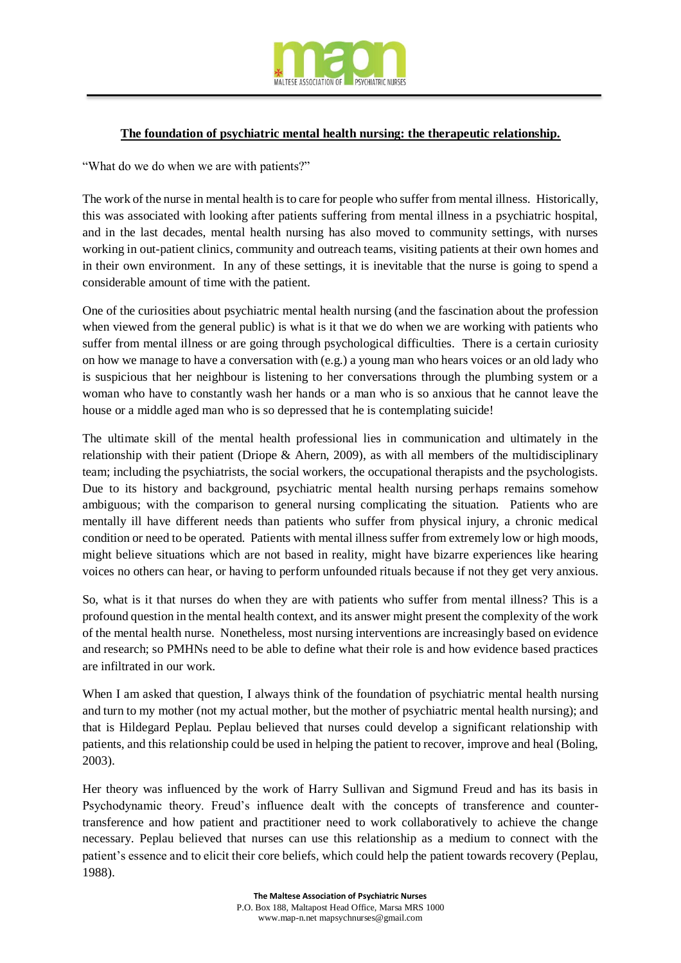

## **The foundation of psychiatric mental health nursing: the therapeutic relationship.**

"What do we do when we are with patients?"

The work of the nurse in mental health is to care for people who suffer from mental illness. Historically, this was associated with looking after patients suffering from mental illness in a psychiatric hospital, and in the last decades, mental health nursing has also moved to community settings, with nurses working in out-patient clinics, community and outreach teams, visiting patients at their own homes and in their own environment. In any of these settings, it is inevitable that the nurse is going to spend a considerable amount of time with the patient.

One of the curiosities about psychiatric mental health nursing (and the fascination about the profession when viewed from the general public) is what is it that we do when we are working with patients who suffer from mental illness or are going through psychological difficulties. There is a certain curiosity on how we manage to have a conversation with (e.g.) a young man who hears voices or an old lady who is suspicious that her neighbour is listening to her conversations through the plumbing system or a woman who have to constantly wash her hands or a man who is so anxious that he cannot leave the house or a middle aged man who is so depressed that he is contemplating suicide!

The ultimate skill of the mental health professional lies in communication and ultimately in the relationship with their patient (Driope & Ahern, 2009), as with all members of the multidisciplinary team; including the psychiatrists, the social workers, the occupational therapists and the psychologists. Due to its history and background, psychiatric mental health nursing perhaps remains somehow ambiguous; with the comparison to general nursing complicating the situation. Patients who are mentally ill have different needs than patients who suffer from physical injury, a chronic medical condition or need to be operated. Patients with mental illness suffer from extremely low or high moods, might believe situations which are not based in reality, might have bizarre experiences like hearing voices no others can hear, or having to perform unfounded rituals because if not they get very anxious.

So, what is it that nurses do when they are with patients who suffer from mental illness? This is a profound question in the mental health context, and its answer might present the complexity of the work of the mental health nurse. Nonetheless, most nursing interventions are increasingly based on evidence and research; so PMHNs need to be able to define what their role is and how evidence based practices are infiltrated in our work.

When I am asked that question, I always think of the foundation of psychiatric mental health nursing and turn to my mother (not my actual mother, but the mother of psychiatric mental health nursing); and that is Hildegard Peplau. Peplau believed that nurses could develop a significant relationship with patients, and this relationship could be used in helping the patient to recover, improve and heal (Boling, 2003).

Her theory was influenced by the work of Harry Sullivan and Sigmund Freud and has its basis in Psychodynamic theory. Freud's influence dealt with the concepts of transference and countertransference and how patient and practitioner need to work collaboratively to achieve the change necessary. Peplau believed that nurses can use this relationship as a medium to connect with the patient's essence and to elicit their core beliefs, which could help the patient towards recovery (Peplau, 1988).